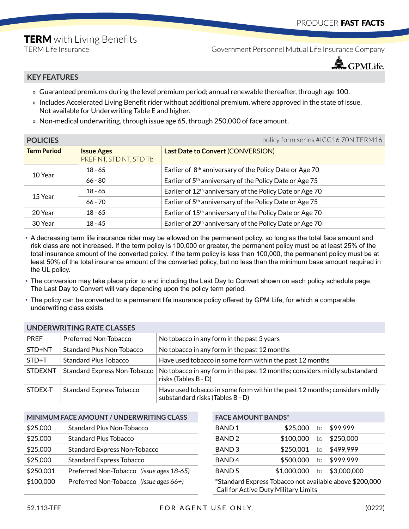## **TERM** with Living Benefits

TERM Life Insurance Government Personnel Mutual Life Insurance Company



## **KEY FEATURES**

- » Guaranteed premiums during the level premium period; annual renewable thereafter, through age 100.
- » Includes Accelerated Living Benefit rider without additional premium, where approved in the state of issue. Not available for Underwriting Table E and higher.
- » Non-medical underwriting, through issue age 65, through 250,000 of face amount.

| <b>POLICIES</b>    |                                              | policy form series #ICC16 70N TERM16                                 |
|--------------------|----------------------------------------------|----------------------------------------------------------------------|
| <b>Term Period</b> | <b>Issue Ages</b><br>PREF NT, STD NT, STD Tb | Last Date to Convert (CONVERSION)                                    |
|                    | $18 - 65$                                    | Earlier of 8 <sup>th</sup> anniversary of the Policy Date or Age 70  |
| 10 Year            | $66 - 80$                                    | Earlier of 5 <sup>th</sup> anniversary of the Policy Date or Age 75  |
| 15 Year            | $18 - 65$                                    | Earlier of 12 <sup>th</sup> anniversary of the Policy Date or Age 70 |
|                    | $66 - 70$                                    | Earlier of 5 <sup>th</sup> anniversary of the Policy Date or Age 75  |
| 20 Year            | $18 - 65$                                    | Earlier of 15 <sup>th</sup> anniversary of the Policy Date or Age 70 |
| 30 Year            | $18 - 45$                                    | Earlier of 20 <sup>th</sup> anniversary of the Policy Date or Age 70 |

- A decreasing term life insurance rider may be allowed on the permanent policy, so long as the total face amount and risk class are not increased. If the term policy is 100,000 or greater, the permanent policy must be at least 25% of the total insurance amount of the converted policy. If the term policy is less than 100,000, the permanent policy must be at least 50% of the total insurance amount of the converted policy, but no less than the minimum base amount required in the UL policy.
- The conversion may take place prior to and including the Last Day to Convert shown on each policy schedule page. The Last Day to Convert will vary depending upon the policy term period.
- The policy can be converted to a permanent life insurance policy offered by GPM Life, for which a comparable underwriting class exists.

| UNDERWRITHS RATE CLASSES |                                 |                                                                                                                |  |  |
|--------------------------|---------------------------------|----------------------------------------------------------------------------------------------------------------|--|--|
| <b>PREF</b>              | Preferred Non-Tobacco           | No tobacco in any form in the past 3 years                                                                     |  |  |
| STD+NT                   | Standard Plus Non-Tobacco       | No tobacco in any form in the past 12 months                                                                   |  |  |
| $STD+T$                  | Standard Plus Tobacco           | Have used tobacco in some form within the past 12 months                                                       |  |  |
| <b>STDEXNT</b>           | Standard Express Non-Tobacco    | No tobacco in any form in the past 12 months; considers mildly substandard<br>risks (Tables B - D)             |  |  |
| STDEX-T                  | <b>Standard Express Tobacco</b> | Have used tobacco in some form within the past 12 months; considers mildly<br>substandard risks (Tables B - D) |  |  |

| MINIMUM FACE AMOUNT / UNDERWRITING CLASS | <b>FACE AMOUNT BANDS*</b> |
|------------------------------------------|---------------------------|
|                                          |                           |

**UNDERWRITING RATE CLASSES**

| <b>DUU,CZ¢</b><br>Standard Pius Non-Tobacco |                                          | <b>DAINLL</b>     | DUU.CZC                                            | LO.             | D77.777     |
|---------------------------------------------|------------------------------------------|-------------------|----------------------------------------------------|-----------------|-------------|
| \$25,000                                    | <b>Standard Plus Tobacco</b>             | BAND <sub>2</sub> | \$100,000                                          | to              | \$250,000   |
| \$25,000                                    | <b>Standard Express Non-Tobacco</b>      | BAND <sub>3</sub> | \$250.001                                          | $\overline{10}$ | \$499,999   |
| \$25,000                                    | <b>Standard Express Tobacco</b>          | BAND <sub>4</sub> | \$500,000                                          | to              | \$999,999   |
| \$250,001                                   | Preferred Non-Tobacco (issue ages 18-65) | BAND <sub>5</sub> | \$1,000,000                                        | to              | \$3,000,000 |
| \$100,000                                   | Preferred Non-Tobacco (issue ages 66+)   |                   | *Standard Express Tobacco not available above \$20 |                 |             |

| MINIMUM FACE AMOUNT / UNDERWRITING CLASS              |                                     |              | <b>FACE AMOUNT BANDS*</b> |             |          |             |  |
|-------------------------------------------------------|-------------------------------------|--------------|---------------------------|-------------|----------|-------------|--|
| \$25,000<br><b>Standard Plus Non-Tobacco</b>          |                                     | <b>BAND1</b> | \$25,000                  | to          | \$99,999 |             |  |
| \$25,000                                              | <b>Standard Plus Tobacco</b>        |              | BAND <sub>2</sub>         | \$100,000   | to       | \$250,000   |  |
| \$25,000                                              | <b>Standard Express Non-Tobacco</b> |              | BAND <sub>3</sub>         | \$250,001   | to       | \$499,999   |  |
| \$25,000                                              | <b>Standard Express Tobacco</b>     |              | BAND <sub>4</sub>         | \$500,000   | to       | \$999,999   |  |
| \$250,001<br>Preferred Non-Tobacco (issue ages 18-65) |                                     |              | BAND <sub>5</sub>         | \$1,000,000 | to       | \$3,000,000 |  |
|                                                       |                                     |              |                           |             |          |             |  |

 $*$ Standard Express Tobacco not available above \$200,000 Call for Active Duty Military Limits